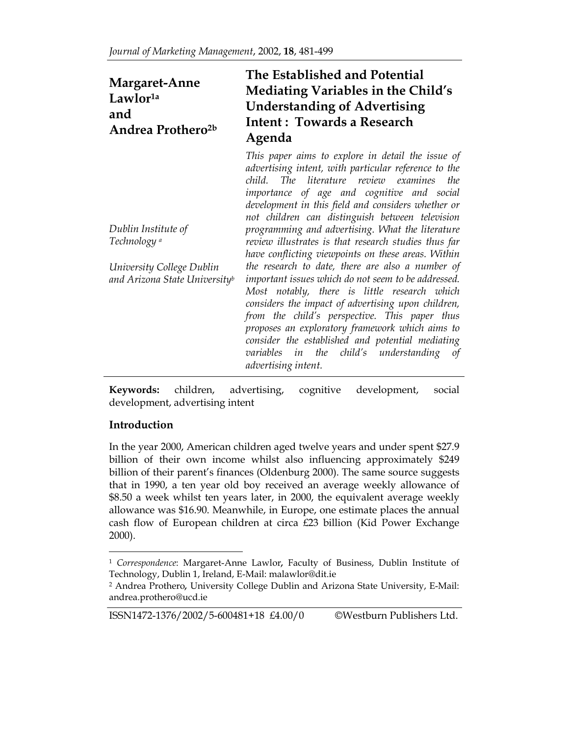| Margaret-Anne<br>Lawlor <sup>1a</sup><br>and<br>Andrea Prothero <sup>2b</sup>                                 | The Established and Potential<br><b>Mediating Variables in the Child's</b><br><b>Understanding of Advertising</b><br>Intent: Towards a Research<br>Agenda                                                                                                                                                                                                                                                                                                                                                                                                                                                                                                                                                                                                                                                                                                                                                                                   |
|---------------------------------------------------------------------------------------------------------------|---------------------------------------------------------------------------------------------------------------------------------------------------------------------------------------------------------------------------------------------------------------------------------------------------------------------------------------------------------------------------------------------------------------------------------------------------------------------------------------------------------------------------------------------------------------------------------------------------------------------------------------------------------------------------------------------------------------------------------------------------------------------------------------------------------------------------------------------------------------------------------------------------------------------------------------------|
| Dublin Institute of<br>Technology a<br>University College Dublin<br>and Arizona State University <sup>b</sup> | This paper aims to explore in detail the issue of<br>advertising intent, with particular reference to the<br>The literature review examines<br>child.<br>the<br>importance of age and cognitive and social<br>development in this field and considers whether or<br>not children can distinguish between television<br>programming and advertising. What the literature<br>review illustrates is that research studies thus far<br>have conflicting viewpoints on these areas. Within<br>the research to date, there are also a number of<br>important issues which do not seem to be addressed.<br>Most notably, there is little research which<br>considers the impact of advertising upon children,<br>from the child's perspective. This paper thus<br>proposes an exploratory framework which aims to<br>consider the established and potential mediating<br>child's understanding<br>variables in<br>the<br>of<br>advertising intent. |

**Keywords:** children, advertising, cognitive development, social development, advertising intent

# **Introduction**

 $\overline{a}$ 

In the year 2000, American children aged twelve years and under spent \$27.9 billion of their own income whilst also influencing approximately \$249 billion of their parent's finances (Oldenburg 2000). The same source suggests that in 1990, a ten year old boy received an average weekly allowance of \$8.50 a week whilst ten years later, in 2000, the equivalent average weekly allowance was \$16.90. Meanwhile, in Europe, one estimate places the annual cash flow of European children at circa £23 billion (Kid Power Exchange 2000).

ISSN1472-1376/2002/5-600481+18 £4.00/0 ©Westburn Publishers Ltd.

<sup>1</sup> *Correspondence*: Margaret-Anne Lawlor*,* Faculty of Business, Dublin Institute of Technology, Dublin 1, Ireland, E-Mail: malawlor@dit.ie

<sup>2</sup> Andrea Prothero*,* University College Dublin and Arizona State University, E-Mail: andrea.prothero@ucd.ie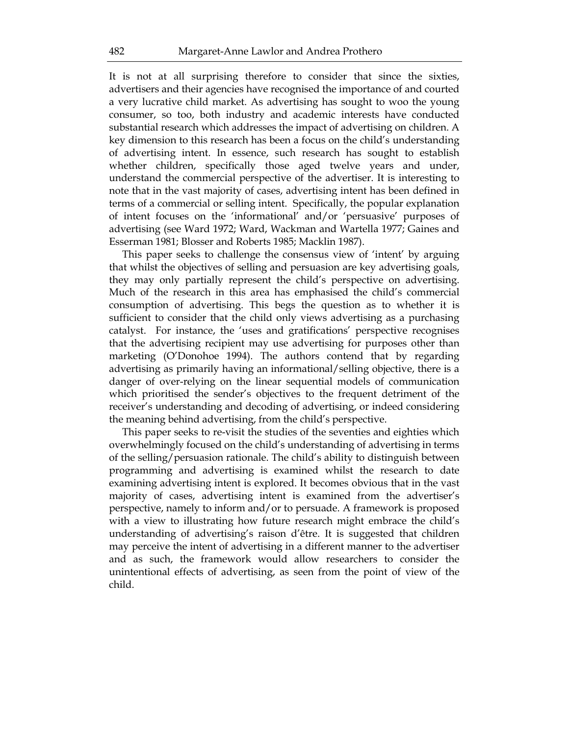It is not at all surprising therefore to consider that since the sixties, advertisers and their agencies have recognised the importance of and courted a very lucrative child market. As advertising has sought to woo the young consumer, so too, both industry and academic interests have conducted substantial research which addresses the impact of advertising on children. A key dimension to this research has been a focus on the child's understanding of advertising intent. In essence, such research has sought to establish whether children, specifically those aged twelve years and under, understand the commercial perspective of the advertiser. It is interesting to note that in the vast majority of cases, advertising intent has been defined in terms of a commercial or selling intent. Specifically, the popular explanation of intent focuses on the 'informational' and/or 'persuasive' purposes of advertising (see Ward 1972; Ward, Wackman and Wartella 1977; Gaines and Esserman 1981; Blosser and Roberts 1985; Macklin 1987).

This paper seeks to challenge the consensus view of 'intent' by arguing that whilst the objectives of selling and persuasion are key advertising goals, they may only partially represent the child's perspective on advertising. Much of the research in this area has emphasised the child's commercial consumption of advertising. This begs the question as to whether it is sufficient to consider that the child only views advertising as a purchasing catalyst. For instance, the 'uses and gratifications' perspective recognises that the advertising recipient may use advertising for purposes other than marketing (O'Donohoe 1994). The authors contend that by regarding advertising as primarily having an informational/selling objective, there is a danger of over-relying on the linear sequential models of communication which prioritised the sender's objectives to the frequent detriment of the receiver's understanding and decoding of advertising, or indeed considering the meaning behind advertising, from the child's perspective.

This paper seeks to re-visit the studies of the seventies and eighties which overwhelmingly focused on the child's understanding of advertising in terms of the selling/persuasion rationale. The child's ability to distinguish between programming and advertising is examined whilst the research to date examining advertising intent is explored. It becomes obvious that in the vast majority of cases, advertising intent is examined from the advertiser's perspective, namely to inform and/or to persuade. A framework is proposed with a view to illustrating how future research might embrace the child's understanding of advertising's raison d'être. It is suggested that children may perceive the intent of advertising in a different manner to the advertiser and as such, the framework would allow researchers to consider the unintentional effects of advertising, as seen from the point of view of the child.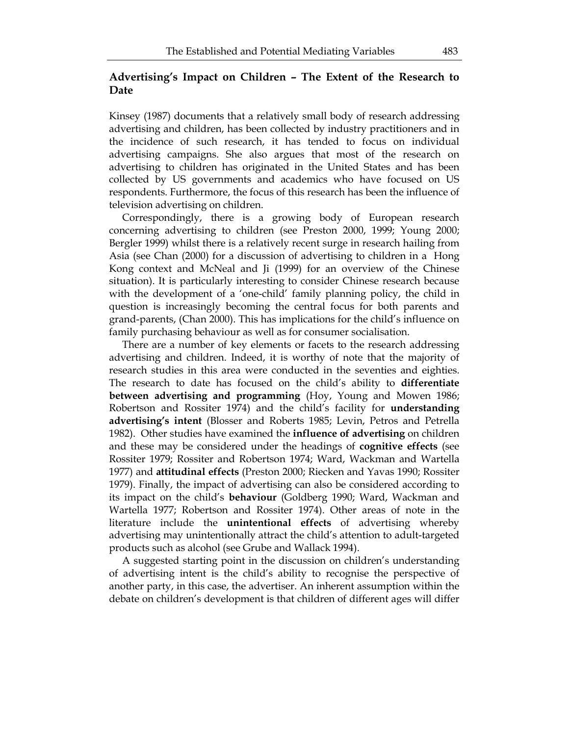# **Advertising's Impact on Children – The Extent of the Research to Date**

Kinsey (1987) documents that a relatively small body of research addressing advertising and children, has been collected by industry practitioners and in the incidence of such research, it has tended to focus on individual advertising campaigns. She also argues that most of the research on advertising to children has originated in the United States and has been collected by US governments and academics who have focused on US respondents. Furthermore, the focus of this research has been the influence of television advertising on children.

Correspondingly, there is a growing body of European research concerning advertising to children (see Preston 2000, 1999; Young 2000; Bergler 1999) whilst there is a relatively recent surge in research hailing from Asia (see Chan (2000) for a discussion of advertising to children in a Hong Kong context and McNeal and Ji (1999) for an overview of the Chinese situation). It is particularly interesting to consider Chinese research because with the development of a 'one-child' family planning policy, the child in question is increasingly becoming the central focus for both parents and grand-parents, (Chan 2000). This has implications for the child's influence on family purchasing behaviour as well as for consumer socialisation.

There are a number of key elements or facets to the research addressing advertising and children. Indeed, it is worthy of note that the majority of research studies in this area were conducted in the seventies and eighties. The research to date has focused on the child's ability to **differentiate between advertising and programming** (Hoy, Young and Mowen 1986; Robertson and Rossiter 1974) and the child's facility for **understanding advertising's intent** (Blosser and Roberts 1985; Levin, Petros and Petrella 1982). Other studies have examined the **influence of advertising** on children and these may be considered under the headings of **cognitive effects** (see Rossiter 1979; Rossiter and Robertson 1974; Ward, Wackman and Wartella 1977) and **attitudinal effects** (Preston 2000; Riecken and Yavas 1990; Rossiter 1979). Finally, the impact of advertising can also be considered according to its impact on the child's **behaviour** (Goldberg 1990; Ward, Wackman and Wartella 1977; Robertson and Rossiter 1974). Other areas of note in the literature include the **unintentional effects** of advertising whereby advertising may unintentionally attract the child's attention to adult-targeted products such as alcohol (see Grube and Wallack 1994).

A suggested starting point in the discussion on children's understanding of advertising intent is the child's ability to recognise the perspective of another party, in this case, the advertiser. An inherent assumption within the debate on children's development is that children of different ages will differ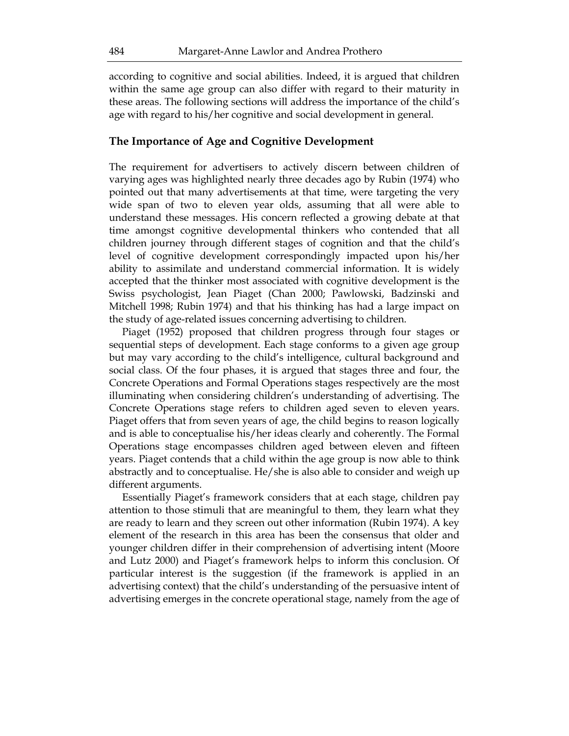according to cognitive and social abilities. Indeed, it is argued that children within the same age group can also differ with regard to their maturity in these areas. The following sections will address the importance of the child's age with regard to his/her cognitive and social development in general.

#### **The Importance of Age and Cognitive Development**

The requirement for advertisers to actively discern between children of varying ages was highlighted nearly three decades ago by Rubin (1974) who pointed out that many advertisements at that time, were targeting the very wide span of two to eleven year olds, assuming that all were able to understand these messages. His concern reflected a growing debate at that time amongst cognitive developmental thinkers who contended that all children journey through different stages of cognition and that the child's level of cognitive development correspondingly impacted upon his/her ability to assimilate and understand commercial information. It is widely accepted that the thinker most associated with cognitive development is the Swiss psychologist, Jean Piaget (Chan 2000; Pawlowski, Badzinski and Mitchell 1998; Rubin 1974) and that his thinking has had a large impact on the study of age-related issues concerning advertising to children.

Piaget (1952) proposed that children progress through four stages or sequential steps of development. Each stage conforms to a given age group but may vary according to the child's intelligence, cultural background and social class. Of the four phases, it is argued that stages three and four, the Concrete Operations and Formal Operations stages respectively are the most illuminating when considering children's understanding of advertising. The Concrete Operations stage refers to children aged seven to eleven years. Piaget offers that from seven years of age, the child begins to reason logically and is able to conceptualise his/her ideas clearly and coherently. The Formal Operations stage encompasses children aged between eleven and fifteen years. Piaget contends that a child within the age group is now able to think abstractly and to conceptualise. He/she is also able to consider and weigh up different arguments.

Essentially Piaget's framework considers that at each stage, children pay attention to those stimuli that are meaningful to them, they learn what they are ready to learn and they screen out other information (Rubin 1974). A key element of the research in this area has been the consensus that older and younger children differ in their comprehension of advertising intent (Moore and Lutz 2000) and Piaget's framework helps to inform this conclusion. Of particular interest is the suggestion (if the framework is applied in an advertising context) that the child's understanding of the persuasive intent of advertising emerges in the concrete operational stage, namely from the age of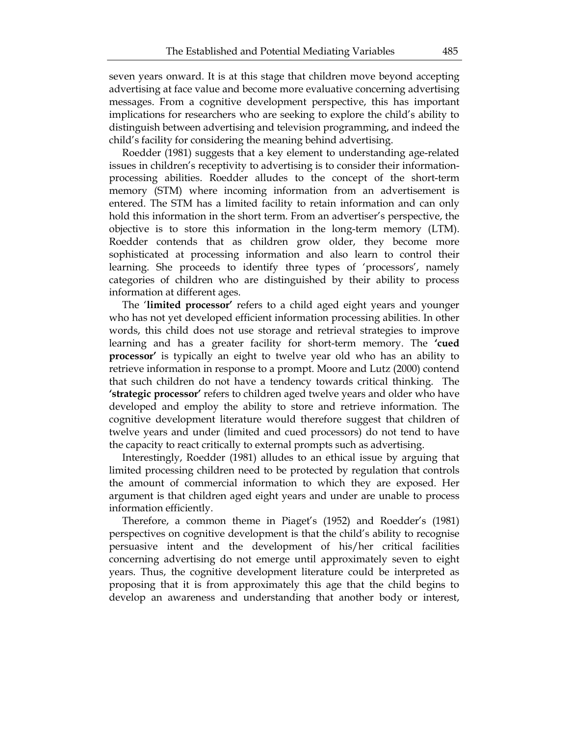seven years onward. It is at this stage that children move beyond accepting advertising at face value and become more evaluative concerning advertising messages. From a cognitive development perspective, this has important implications for researchers who are seeking to explore the child's ability to distinguish between advertising and television programming, and indeed the child's facility for considering the meaning behind advertising.

Roedder (1981) suggests that a key element to understanding age-related issues in children's receptivity to advertising is to consider their informationprocessing abilities. Roedder alludes to the concept of the short-term memory (STM) where incoming information from an advertisement is entered. The STM has a limited facility to retain information and can only hold this information in the short term. From an advertiser's perspective, the objective is to store this information in the long-term memory (LTM). Roedder contends that as children grow older, they become more sophisticated at processing information and also learn to control their learning. She proceeds to identify three types of 'processors', namely categories of children who are distinguished by their ability to process information at different ages.

The '**limited processor'** refers to a child aged eight years and younger who has not yet developed efficient information processing abilities. In other words, this child does not use storage and retrieval strategies to improve learning and has a greater facility for short-term memory. The **'cued processor'** is typically an eight to twelve year old who has an ability to retrieve information in response to a prompt. Moore and Lutz (2000) contend that such children do not have a tendency towards critical thinking. The **'strategic processor'** refers to children aged twelve years and older who have developed and employ the ability to store and retrieve information. The cognitive development literature would therefore suggest that children of twelve years and under (limited and cued processors) do not tend to have the capacity to react critically to external prompts such as advertising.

Interestingly, Roedder (1981) alludes to an ethical issue by arguing that limited processing children need to be protected by regulation that controls the amount of commercial information to which they are exposed. Her argument is that children aged eight years and under are unable to process information efficiently.

Therefore, a common theme in Piaget's (1952) and Roedder's (1981) perspectives on cognitive development is that the child's ability to recognise persuasive intent and the development of his/her critical facilities concerning advertising do not emerge until approximately seven to eight years. Thus, the cognitive development literature could be interpreted as proposing that it is from approximately this age that the child begins to develop an awareness and understanding that another body or interest,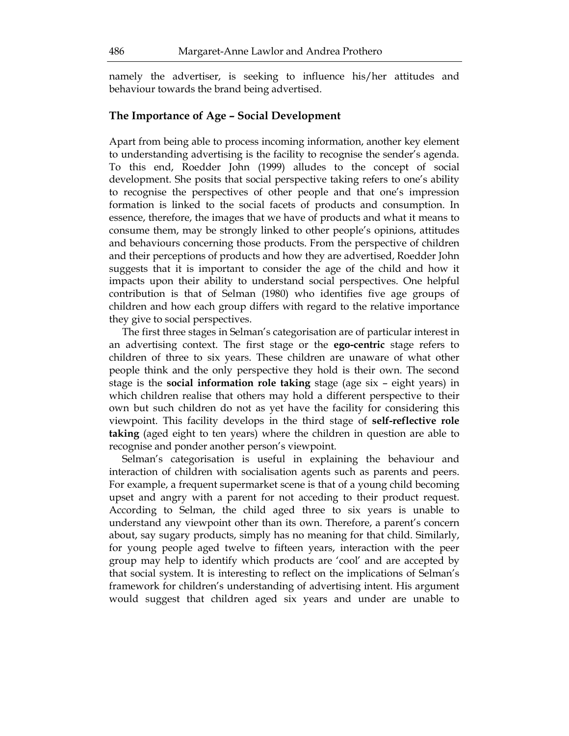namely the advertiser, is seeking to influence his/her attitudes and behaviour towards the brand being advertised.

#### **The Importance of Age – Social Development**

Apart from being able to process incoming information, another key element to understanding advertising is the facility to recognise the sender's agenda. To this end, Roedder John (1999) alludes to the concept of social development. She posits that social perspective taking refers to one's ability to recognise the perspectives of other people and that one's impression formation is linked to the social facets of products and consumption. In essence, therefore, the images that we have of products and what it means to consume them, may be strongly linked to other people's opinions, attitudes and behaviours concerning those products. From the perspective of children and their perceptions of products and how they are advertised, Roedder John suggests that it is important to consider the age of the child and how it impacts upon their ability to understand social perspectives. One helpful contribution is that of Selman (1980) who identifies five age groups of children and how each group differs with regard to the relative importance they give to social perspectives.

The first three stages in Selman's categorisation are of particular interest in an advertising context. The first stage or the **ego-centric** stage refers to children of three to six years. These children are unaware of what other people think and the only perspective they hold is their own. The second stage is the **social information role taking** stage (age six – eight years) in which children realise that others may hold a different perspective to their own but such children do not as yet have the facility for considering this viewpoint. This facility develops in the third stage of **self-reflective role taking** (aged eight to ten years) where the children in question are able to recognise and ponder another person's viewpoint.

Selman's categorisation is useful in explaining the behaviour and interaction of children with socialisation agents such as parents and peers. For example, a frequent supermarket scene is that of a young child becoming upset and angry with a parent for not acceding to their product request. According to Selman, the child aged three to six years is unable to understand any viewpoint other than its own. Therefore, a parent's concern about, say sugary products, simply has no meaning for that child. Similarly, for young people aged twelve to fifteen years, interaction with the peer group may help to identify which products are 'cool' and are accepted by that social system. It is interesting to reflect on the implications of Selman's framework for children's understanding of advertising intent. His argument would suggest that children aged six years and under are unable to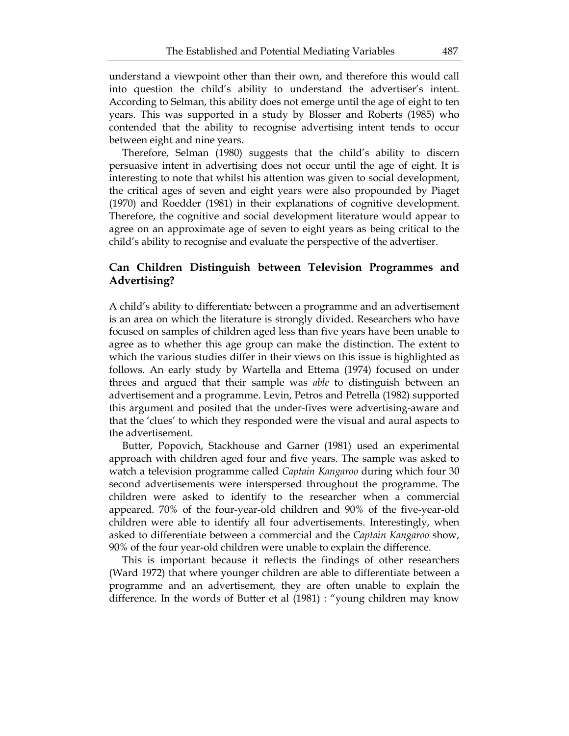understand a viewpoint other than their own, and therefore this would call into question the child's ability to understand the advertiser's intent. According to Selman, this ability does not emerge until the age of eight to ten years. This was supported in a study by Blosser and Roberts (1985) who contended that the ability to recognise advertising intent tends to occur between eight and nine years.

Therefore, Selman (1980) suggests that the child's ability to discern persuasive intent in advertising does not occur until the age of eight. It is interesting to note that whilst his attention was given to social development, the critical ages of seven and eight years were also propounded by Piaget (1970) and Roedder (1981) in their explanations of cognitive development. Therefore, the cognitive and social development literature would appear to agree on an approximate age of seven to eight years as being critical to the child's ability to recognise and evaluate the perspective of the advertiser.

# **Can Children Distinguish between Television Programmes and Advertising?**

A child's ability to differentiate between a programme and an advertisement is an area on which the literature is strongly divided. Researchers who have focused on samples of children aged less than five years have been unable to agree as to whether this age group can make the distinction. The extent to which the various studies differ in their views on this issue is highlighted as follows. An early study by Wartella and Ettema (1974) focused on under threes and argued that their sample was *able* to distinguish between an advertisement and a programme. Levin, Petros and Petrella (1982) supported this argument and posited that the under-fives were advertising-aware and that the 'clues' to which they responded were the visual and aural aspects to the advertisement.

Butter, Popovich, Stackhouse and Garner (1981) used an experimental approach with children aged four and five years. The sample was asked to watch a television programme called *Captain Kangaroo* during which four 30 second advertisements were interspersed throughout the programme. The children were asked to identify to the researcher when a commercial appeared. 70% of the four-year-old children and 90% of the five-year-old children were able to identify all four advertisements. Interestingly, when asked to differentiate between a commercial and the *Captain Kangaroo* show, 90% of the four year-old children were unable to explain the difference.

This is important because it reflects the findings of other researchers (Ward 1972) that where younger children are able to differentiate between a programme and an advertisement, they are often unable to explain the difference. In the words of Butter et al (1981) : "young children may know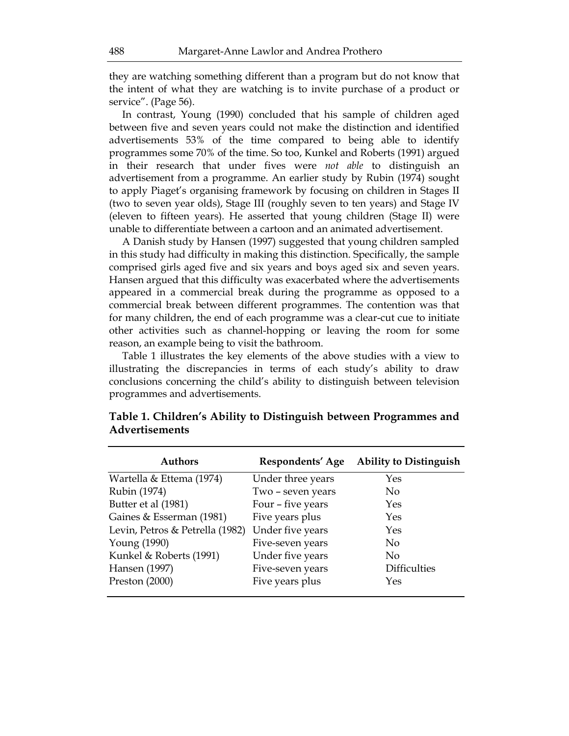they are watching something different than a program but do not know that the intent of what they are watching is to invite purchase of a product or service". (Page 56).

In contrast, Young (1990) concluded that his sample of children aged between five and seven years could not make the distinction and identified advertisements 53% of the time compared to being able to identify programmes some 70% of the time. So too, Kunkel and Roberts (1991) argued in their research that under fives were *not able* to distinguish an advertisement from a programme. An earlier study by Rubin (1974) sought to apply Piaget's organising framework by focusing on children in Stages II (two to seven year olds), Stage III (roughly seven to ten years) and Stage IV (eleven to fifteen years). He asserted that young children (Stage II) were unable to differentiate between a cartoon and an animated advertisement.

A Danish study by Hansen (1997) suggested that young children sampled in this study had difficulty in making this distinction. Specifically, the sample comprised girls aged five and six years and boys aged six and seven years. Hansen argued that this difficulty was exacerbated where the advertisements appeared in a commercial break during the programme as opposed to a commercial break between different programmes. The contention was that for many children, the end of each programme was a clear-cut cue to initiate other activities such as channel-hopping or leaving the room for some reason, an example being to visit the bathroom.

Table 1 illustrates the key elements of the above studies with a view to illustrating the discrepancies in terms of each study's ability to draw conclusions concerning the child's ability to distinguish between television programmes and advertisements.

| <b>Authors</b>                  | Respondents' Age  | <b>Ability to Distinguish</b> |
|---------------------------------|-------------------|-------------------------------|
| Wartella & Ettema (1974)        | Under three years | Yes                           |
| Rubin (1974)                    | Two - seven years | No                            |
| Butter et al (1981)             | Four - five years | Yes                           |
| Gaines & Esserman (1981)        | Five years plus   | Yes                           |
| Levin, Petros & Petrella (1982) | Under five years  | Yes                           |
| Young (1990)                    | Five-seven years  | No                            |
| Kunkel & Roberts (1991)         | Under five years  | N <sub>0</sub>                |
| Hansen (1997)                   | Five-seven years  | <b>Difficulties</b>           |
| Preston (2000)                  | Five years plus   | Yes                           |

**Table 1. Children's Ability to Distinguish between Programmes and Advertisements**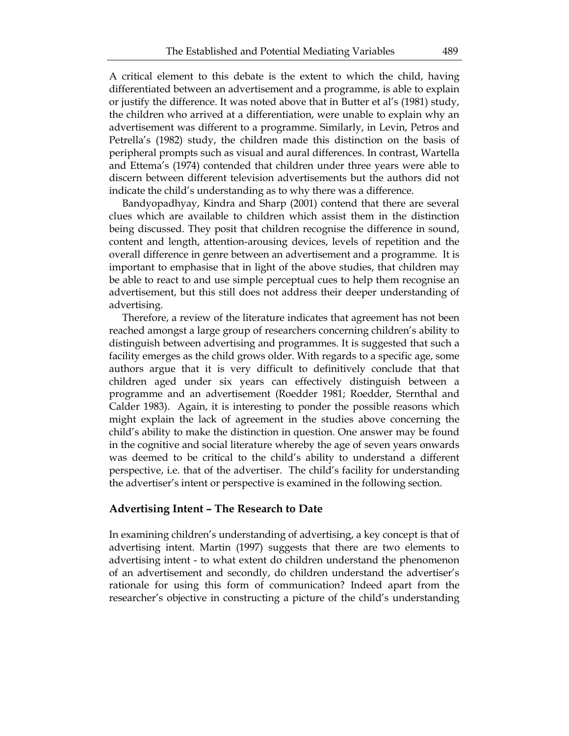A critical element to this debate is the extent to which the child, having differentiated between an advertisement and a programme, is able to explain or justify the difference. It was noted above that in Butter et al's (1981) study, the children who arrived at a differentiation, were unable to explain why an advertisement was different to a programme. Similarly, in Levin, Petros and Petrella's (1982) study, the children made this distinction on the basis of peripheral prompts such as visual and aural differences. In contrast, Wartella and Ettema's (1974) contended that children under three years were able to discern between different television advertisements but the authors did not indicate the child's understanding as to why there was a difference.

Bandyopadhyay, Kindra and Sharp (2001) contend that there are several clues which are available to children which assist them in the distinction being discussed. They posit that children recognise the difference in sound, content and length, attention-arousing devices, levels of repetition and the overall difference in genre between an advertisement and a programme. It is important to emphasise that in light of the above studies, that children may be able to react to and use simple perceptual cues to help them recognise an advertisement, but this still does not address their deeper understanding of advertising.

Therefore, a review of the literature indicates that agreement has not been reached amongst a large group of researchers concerning children's ability to distinguish between advertising and programmes. It is suggested that such a facility emerges as the child grows older. With regards to a specific age, some authors argue that it is very difficult to definitively conclude that that children aged under six years can effectively distinguish between a programme and an advertisement (Roedder 1981; Roedder, Sternthal and Calder 1983). Again, it is interesting to ponder the possible reasons which might explain the lack of agreement in the studies above concerning the child's ability to make the distinction in question. One answer may be found in the cognitive and social literature whereby the age of seven years onwards was deemed to be critical to the child's ability to understand a different perspective, i.e. that of the advertiser. The child's facility for understanding the advertiser's intent or perspective is examined in the following section.

## **Advertising Intent – The Research to Date**

In examining children's understanding of advertising, a key concept is that of advertising intent. Martin (1997) suggests that there are two elements to advertising intent - to what extent do children understand the phenomenon of an advertisement and secondly, do children understand the advertiser's rationale for using this form of communication? Indeed apart from the researcher's objective in constructing a picture of the child's understanding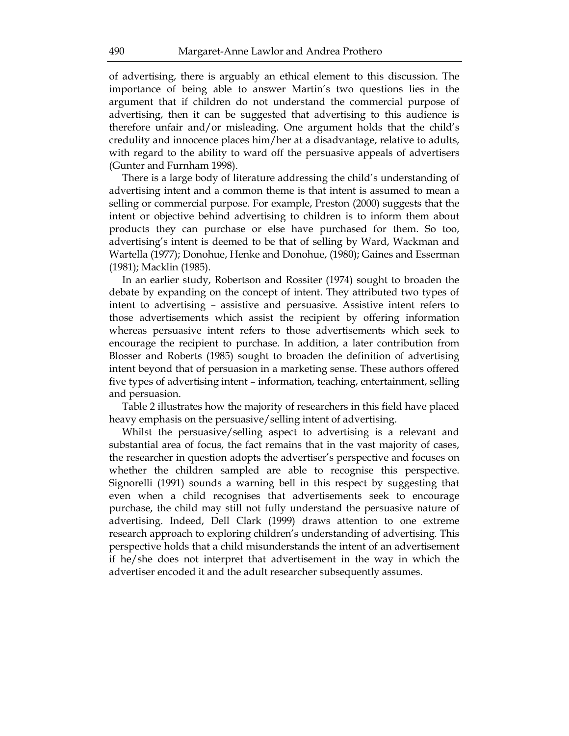of advertising, there is arguably an ethical element to this discussion. The importance of being able to answer Martin's two questions lies in the argument that if children do not understand the commercial purpose of advertising, then it can be suggested that advertising to this audience is therefore unfair and/or misleading. One argument holds that the child's credulity and innocence places him/her at a disadvantage, relative to adults, with regard to the ability to ward off the persuasive appeals of advertisers (Gunter and Furnham 1998).

There is a large body of literature addressing the child's understanding of advertising intent and a common theme is that intent is assumed to mean a selling or commercial purpose. For example, Preston (2000) suggests that the intent or objective behind advertising to children is to inform them about products they can purchase or else have purchased for them. So too, advertising's intent is deemed to be that of selling by Ward, Wackman and Wartella (1977); Donohue, Henke and Donohue, (1980); Gaines and Esserman (1981); Macklin (1985).

In an earlier study, Robertson and Rossiter (1974) sought to broaden the debate by expanding on the concept of intent. They attributed two types of intent to advertising – assistive and persuasive. Assistive intent refers to those advertisements which assist the recipient by offering information whereas persuasive intent refers to those advertisements which seek to encourage the recipient to purchase. In addition, a later contribution from Blosser and Roberts (1985) sought to broaden the definition of advertising intent beyond that of persuasion in a marketing sense. These authors offered five types of advertising intent – information, teaching, entertainment, selling and persuasion.

Table 2 illustrates how the majority of researchers in this field have placed heavy emphasis on the persuasive/selling intent of advertising.

Whilst the persuasive/selling aspect to advertising is a relevant and substantial area of focus, the fact remains that in the vast majority of cases, the researcher in question adopts the advertiser's perspective and focuses on whether the children sampled are able to recognise this perspective. Signorelli (1991) sounds a warning bell in this respect by suggesting that even when a child recognises that advertisements seek to encourage purchase, the child may still not fully understand the persuasive nature of advertising. Indeed, Dell Clark (1999) draws attention to one extreme research approach to exploring children's understanding of advertising. This perspective holds that a child misunderstands the intent of an advertisement if he/she does not interpret that advertisement in the way in which the advertiser encoded it and the adult researcher subsequently assumes.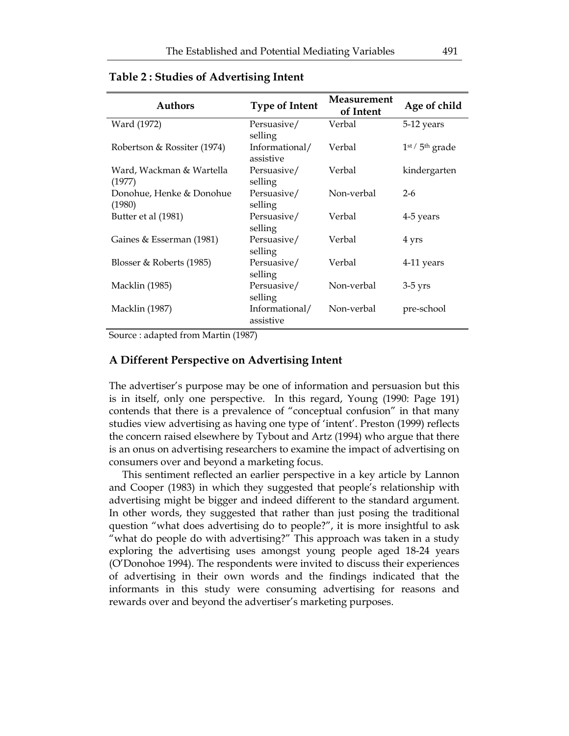| <b>Authors</b>                     | <b>Type of Intent</b>       | Measurement<br>of Intent | Age of child    |
|------------------------------------|-----------------------------|--------------------------|-----------------|
| Ward (1972)                        | Persuasive/<br>selling      | Verbal                   | 5-12 years      |
| Robertson & Rossiter (1974)        | Informational/<br>assistive | Verbal                   | $1st/5th$ grade |
| Ward, Wackman & Wartella<br>(1977) | Persuasive/<br>selling      | Verbal                   | kindergarten    |
| Donohue, Henke & Donohue<br>(1980) | Persuasive/<br>selling      | Non-verbal               | $2-6$           |
| Butter et al (1981)                | Persuasive/<br>selling      | Verbal                   | 4-5 years       |
| Gaines & Esserman (1981)           | Persuasive/<br>selling      | Verbal                   | 4 yrs           |
| Blosser & Roberts (1985)           | Persuasive/<br>selling      | Verbal                   | 4-11 years      |
| <b>Macklin</b> (1985)              | Persuasive/<br>selling      | Non-verbal               | $3-5$ yrs       |
| Macklin (1987)                     | Informational/<br>assistive | Non-verbal               | pre-school      |

**Table 2 : Studies of Advertising Intent** 

Source : adapted from Martin (1987)

## **A Different Perspective on Advertising Intent**

The advertiser's purpose may be one of information and persuasion but this is in itself, only one perspective. In this regard, Young (1990: Page 191) contends that there is a prevalence of "conceptual confusion" in that many studies view advertising as having one type of 'intent'. Preston (1999) reflects the concern raised elsewhere by Tybout and Artz (1994) who argue that there is an onus on advertising researchers to examine the impact of advertising on consumers over and beyond a marketing focus.

This sentiment reflected an earlier perspective in a key article by Lannon and Cooper (1983) in which they suggested that people's relationship with advertising might be bigger and indeed different to the standard argument. In other words, they suggested that rather than just posing the traditional question "what does advertising do to people?", it is more insightful to ask "what do people do with advertising?" This approach was taken in a study exploring the advertising uses amongst young people aged 18-24 years (O'Donohoe 1994). The respondents were invited to discuss their experiences of advertising in their own words and the findings indicated that the informants in this study were consuming advertising for reasons and rewards over and beyond the advertiser's marketing purposes.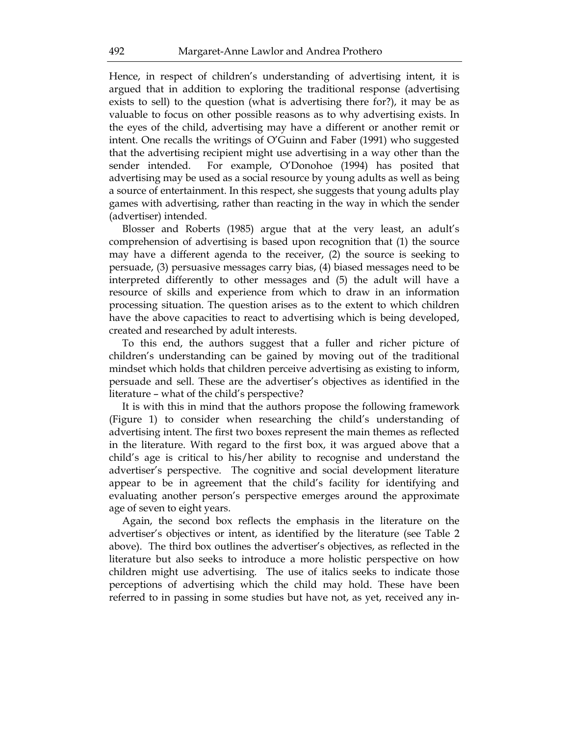Hence, in respect of children's understanding of advertising intent, it is argued that in addition to exploring the traditional response (advertising exists to sell) to the question (what is advertising there for?), it may be as valuable to focus on other possible reasons as to why advertising exists. In the eyes of the child, advertising may have a different or another remit or intent. One recalls the writings of O'Guinn and Faber (1991) who suggested that the advertising recipient might use advertising in a way other than the sender intended. For example, O'Donohoe (1994) has posited that advertising may be used as a social resource by young adults as well as being a source of entertainment. In this respect, she suggests that young adults play games with advertising, rather than reacting in the way in which the sender (advertiser) intended.

Blosser and Roberts (1985) argue that at the very least, an adult's comprehension of advertising is based upon recognition that (1) the source may have a different agenda to the receiver, (2) the source is seeking to persuade, (3) persuasive messages carry bias, (4) biased messages need to be interpreted differently to other messages and (5) the adult will have a resource of skills and experience from which to draw in an information processing situation. The question arises as to the extent to which children have the above capacities to react to advertising which is being developed, created and researched by adult interests.

To this end, the authors suggest that a fuller and richer picture of children's understanding can be gained by moving out of the traditional mindset which holds that children perceive advertising as existing to inform, persuade and sell. These are the advertiser's objectives as identified in the literature – what of the child's perspective?

It is with this in mind that the authors propose the following framework (Figure 1) to consider when researching the child's understanding of advertising intent. The first two boxes represent the main themes as reflected in the literature. With regard to the first box, it was argued above that a child's age is critical to his/her ability to recognise and understand the advertiser's perspective. The cognitive and social development literature appear to be in agreement that the child's facility for identifying and evaluating another person's perspective emerges around the approximate age of seven to eight years.

Again, the second box reflects the emphasis in the literature on the advertiser's objectives or intent, as identified by the literature (see Table 2 above). The third box outlines the advertiser's objectives, as reflected in the literature but also seeks to introduce a more holistic perspective on how children might use advertising. The use of italics seeks to indicate those perceptions of advertising which the child may hold. These have been referred to in passing in some studies but have not, as yet, received any in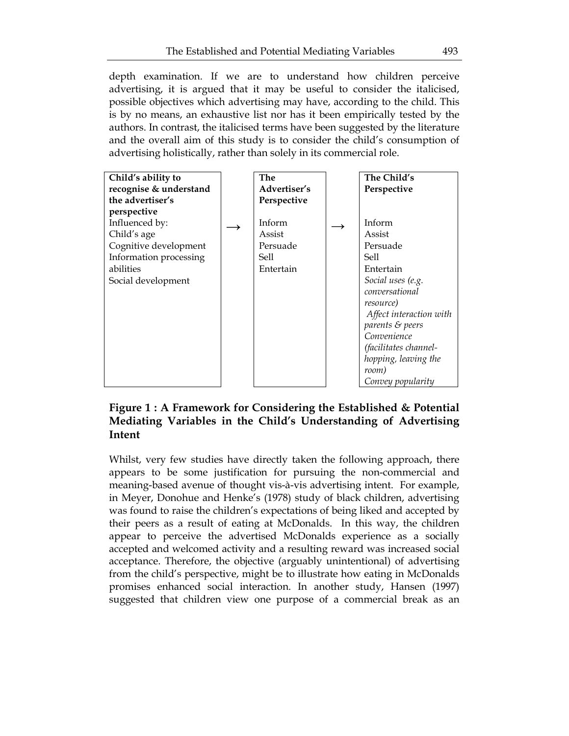depth examination. If we are to understand how children perceive advertising, it is argued that it may be useful to consider the italicised, possible objectives which advertising may have, according to the child. This is by no means, an exhaustive list nor has it been empirically tested by the authors. In contrast, the italicised terms have been suggested by the literature and the overall aim of this study is to consider the child's consumption of advertising holistically, rather than solely in its commercial role.

| Child's ability to<br>recognise & understand<br>the advertiser's                                                                   | <b>The</b><br>Advertiser's<br>Perspective         | The Child's<br>Perspective                                                                                                                                                                                                                        |
|------------------------------------------------------------------------------------------------------------------------------------|---------------------------------------------------|---------------------------------------------------------------------------------------------------------------------------------------------------------------------------------------------------------------------------------------------------|
| perspective<br>Influenced by:<br>Child's age<br>Cognitive development<br>Information processing<br>abilities<br>Social development | Inform<br>Assist<br>Persuade<br>Sell<br>Entertain | Inform<br>Assist<br>Persuade<br>Sell<br>Entertain<br>Social uses (e.g.<br>conversational<br>resource)<br>Affect interaction with<br>parents & peers<br>Convenience<br>(facilitates channel-<br>hopping, leaving the<br>room)<br>Convey popularity |

# **Figure 1 : A Framework for Considering the Established & Potential Mediating Variables in the Child's Understanding of Advertising Intent**

Whilst, very few studies have directly taken the following approach, there appears to be some justification for pursuing the non-commercial and meaning-based avenue of thought vis-à-vis advertising intent. For example, in Meyer, Donohue and Henke's (1978) study of black children, advertising was found to raise the children's expectations of being liked and accepted by their peers as a result of eating at McDonalds. In this way, the children appear to perceive the advertised McDonalds experience as a socially accepted and welcomed activity and a resulting reward was increased social acceptance. Therefore, the objective (arguably unintentional) of advertising from the child's perspective, might be to illustrate how eating in McDonalds promises enhanced social interaction. In another study, Hansen (1997) suggested that children view one purpose of a commercial break as an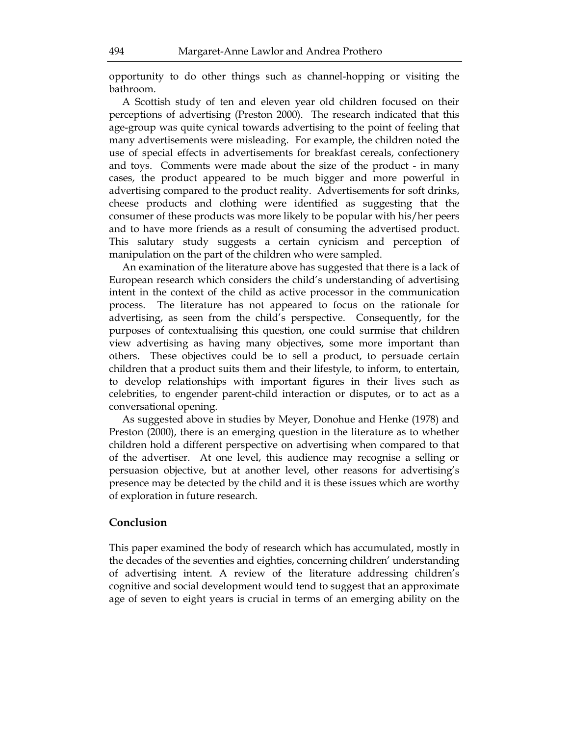opportunity to do other things such as channel-hopping or visiting the bathroom.

A Scottish study of ten and eleven year old children focused on their perceptions of advertising (Preston 2000). The research indicated that this age-group was quite cynical towards advertising to the point of feeling that many advertisements were misleading. For example, the children noted the use of special effects in advertisements for breakfast cereals, confectionery and toys. Comments were made about the size of the product - in many cases, the product appeared to be much bigger and more powerful in advertising compared to the product reality. Advertisements for soft drinks, cheese products and clothing were identified as suggesting that the consumer of these products was more likely to be popular with his/her peers and to have more friends as a result of consuming the advertised product. This salutary study suggests a certain cynicism and perception of manipulation on the part of the children who were sampled.

An examination of the literature above has suggested that there is a lack of European research which considers the child's understanding of advertising intent in the context of the child as active processor in the communication process. The literature has not appeared to focus on the rationale for advertising, as seen from the child's perspective. Consequently, for the purposes of contextualising this question, one could surmise that children view advertising as having many objectives, some more important than others. These objectives could be to sell a product, to persuade certain children that a product suits them and their lifestyle, to inform, to entertain, to develop relationships with important figures in their lives such as celebrities, to engender parent-child interaction or disputes, or to act as a conversational opening.

As suggested above in studies by Meyer, Donohue and Henke (1978) and Preston (2000), there is an emerging question in the literature as to whether children hold a different perspective on advertising when compared to that of the advertiser. At one level, this audience may recognise a selling or persuasion objective, but at another level, other reasons for advertising's presence may be detected by the child and it is these issues which are worthy of exploration in future research.

### **Conclusion**

This paper examined the body of research which has accumulated, mostly in the decades of the seventies and eighties, concerning children' understanding of advertising intent. A review of the literature addressing children's cognitive and social development would tend to suggest that an approximate age of seven to eight years is crucial in terms of an emerging ability on the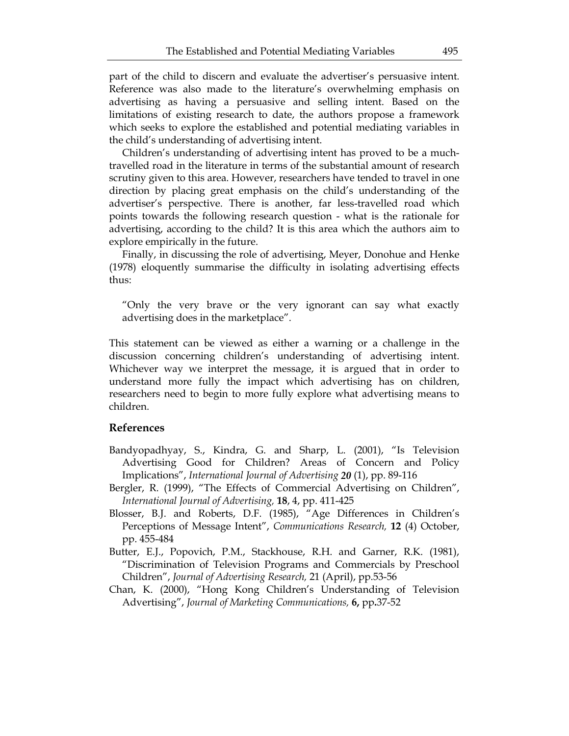part of the child to discern and evaluate the advertiser's persuasive intent. Reference was also made to the literature's overwhelming emphasis on advertising as having a persuasive and selling intent. Based on the limitations of existing research to date, the authors propose a framework which seeks to explore the established and potential mediating variables in the child's understanding of advertising intent.

Children's understanding of advertising intent has proved to be a muchtravelled road in the literature in terms of the substantial amount of research scrutiny given to this area. However, researchers have tended to travel in one direction by placing great emphasis on the child's understanding of the advertiser's perspective. There is another, far less-travelled road which points towards the following research question - what is the rationale for advertising, according to the child? It is this area which the authors aim to explore empirically in the future.

Finally, in discussing the role of advertising, Meyer, Donohue and Henke (1978) eloquently summarise the difficulty in isolating advertising effects thus:

"Only the very brave or the very ignorant can say what exactly advertising does in the marketplace".

This statement can be viewed as either a warning or a challenge in the discussion concerning children's understanding of advertising intent. Whichever way we interpret the message, it is argued that in order to understand more fully the impact which advertising has on children, researchers need to begin to more fully explore what advertising means to children.

### **References**

- Bandyopadhyay, S., Kindra, G. and Sharp, L. (2001), "Is Television Advertising Good for Children? Areas of Concern and Policy Implications", *International Journal of Advertising 20* (1), pp. 89-116
- Bergler, R. (1999), "The Effects of Commercial Advertising on Children", *International Journal of Advertising,* **18**, 4, pp. 411-425
- Blosser, B.J. and Roberts, D.F. (1985), "Age Differences in Children's Perceptions of Message Intent", *Communications Research,* **12** (4) October, pp. 455-484
- Butter, E.J., Popovich, P.M., Stackhouse, R.H. and Garner, R.K. (1981), "Discrimination of Television Programs and Commercials by Preschool Children", *Journal of Advertising Research,* 21 (April), pp.53-56
- Chan, K. (2000), "Hong Kong Children's Understanding of Television Advertising", *Journal of Marketing Communications,* **6,** pp**.**37-52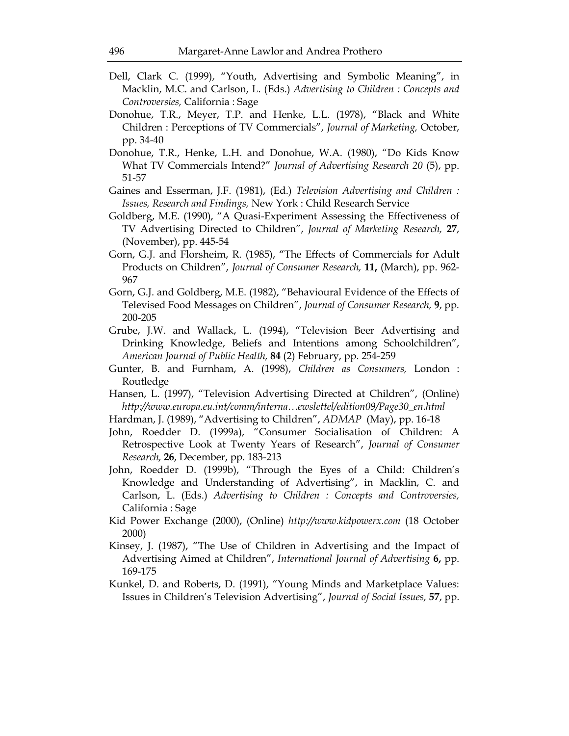- Dell, Clark C. (1999), "Youth, Advertising and Symbolic Meaning", in Macklin, M.C. and Carlson, L. (Eds.) *Advertising to Children : Concepts and Controversies,* California : Sage
- Donohue, T.R., Meyer, T.P. and Henke, L.L. (1978), "Black and White Children : Perceptions of TV Commercials", *Journal of Marketing,* October, pp. 34-40
- Donohue, T.R., Henke, L.H. and Donohue, W.A. (1980), "Do Kids Know What TV Commercials Intend?" *Journal of Advertising Research 20* (5), pp. 51-57
- Gaines and Esserman, J.F. (1981), (Ed.) *Television Advertising and Children : Issues, Research and Findings,* New York : Child Research Service
- Goldberg, M.E. (1990), "A Quasi-Experiment Assessing the Effectiveness of TV Advertising Directed to Children", *Journal of Marketing Research,* **27**, (November), pp. 445-54
- Gorn, G.J. and Florsheim, R. (1985), "The Effects of Commercials for Adult Products on Children", *Journal of Consumer Research,* **11,** (March), pp. 962- 967
- Gorn, G.J. and Goldberg, M.E. (1982), "Behavioural Evidence of the Effects of Televised Food Messages on Children", *Journal of Consumer Research,* **9**, pp. 200-205
- Grube, J.W. and Wallack, L. (1994), "Television Beer Advertising and Drinking Knowledge, Beliefs and Intentions among Schoolchildren", *American Journal of Public Health,* **84** (2) February, pp. 254-259
- Gunter, B. and Furnham, A. (1998), *Children as Consumers,* London : Routledge
- Hansen, L. (1997), "Television Advertising Directed at Children", (Online) *http://www.europa.eu.int/comm/interna…ewslettel/edition09/Page30\_en.html*
- Hardman, J. (1989), "Advertising to Children", *ADMAP* (May), pp. 16-18
- John, Roedder D. (1999a), "Consumer Socialisation of Children: A Retrospective Look at Twenty Years of Research", *Journal of Consumer Research,* **26**, December, pp. 183-213
- John, Roedder D. (1999b), "Through the Eyes of a Child: Children's Knowledge and Understanding of Advertising", in Macklin, C. and Carlson, L. (Eds.) *Advertising to Children : Concepts and Controversies,*  California : Sage
- Kid Power Exchange (2000), (Online) *http://www.kidpowerx.com* (18 October 2000)
- Kinsey, J. (1987), "The Use of Children in Advertising and the Impact of Advertising Aimed at Children", *International Journal of Advertising* **6,** pp. 169-175
- Kunkel, D. and Roberts, D. (1991), "Young Minds and Marketplace Values: Issues in Children's Television Advertising", *Journal of Social Issues,* **57**, pp.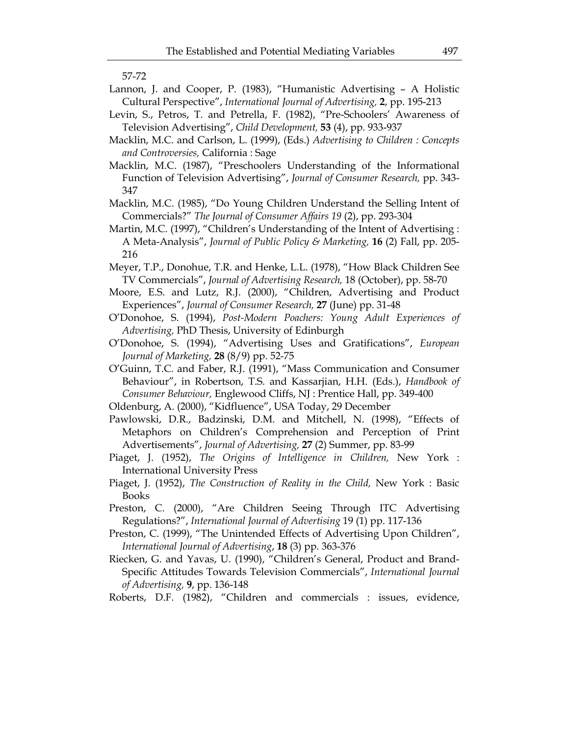57-72

- Lannon, J. and Cooper, P. (1983), "Humanistic Advertising A Holistic Cultural Perspective", *International Journal of Advertising,* **2**, pp. 195-213
- Levin, S., Petros, T. and Petrella, F. (1982), "Pre-Schoolers' Awareness of Television Advertising", *Child Development,* **53** (4), pp. 933-937
- Macklin, M.C. and Carlson, L. (1999), (Eds.) *Advertising to Children : Concepts and Controversies,* California : Sage
- Macklin, M.C. (1987), "Preschoolers Understanding of the Informational Function of Television Advertising", *Journal of Consumer Research,* pp. 343- 347
- Macklin, M.C. (1985), "Do Young Children Understand the Selling Intent of Commercials?" *The Journal of Consumer Affairs 19* (2), pp. 293-304
- Martin, M.C. (1997), "Children's Understanding of the Intent of Advertising : A Meta-Analysis", *Journal of Public Policy & Marketing,* **16** (2) Fall, pp. 205- 216
- Meyer, T.P., Donohue, T.R. and Henke, L.L. (1978), "How Black Children See TV Commercials", *Journal of Advertising Research,* 18 (October), pp. 58-70
- Moore, E.S. and Lutz, R.J. (2000), "Children, Advertising and Product Experiences", *Journal of Consumer Research,* **27** (June) pp. 31-48
- O'Donohoe, S. (1994), *Post-Modern Poachers: Young Adult Experiences of Advertising,* PhD Thesis, University of Edinburgh
- O'Donohoe, S. (1994), "Advertising Uses and Gratifications", *European Journal of Marketing,* **28** (8/9) pp. 52-75
- O'Guinn, T.C. and Faber, R.J. (1991), "Mass Communication and Consumer Behaviour", in Robertson, T.S. and Kassarjian, H.H. (Eds.), *Handbook of Consumer Behaviour,* Englewood Cliffs, NJ : Prentice Hall, pp. 349-400

Oldenburg, A. (2000), "Kidfluence", USA Today, 29 December

- Pawlowski, D.R., Badzinski, D.M. and Mitchell, N. (1998), "Effects of Metaphors on Children's Comprehension and Perception of Print Advertisements", *Journal of Advertising,* **27** (2) Summer, pp. 83-99
- Piaget, J. (1952), *The Origins of Intelligence in Children,* New York : International University Press
- Piaget, J. (1952), *The Construction of Reality in the Child,* New York : Basic Books
- Preston, C. (2000), "Are Children Seeing Through ITC Advertising Regulations?", *International Journal of Advertising* 19 (1) pp. 117-136
- Preston, C. (1999), "The Unintended Effects of Advertising Upon Children", *International Journal of Advertising*, **18** (3) pp. 363-376
- Riecken, G. and Yavas, U. (1990), "Children's General, Product and Brand-Specific Attitudes Towards Television Commercials", *International Journal of Advertising,* **9**, pp. 136-148
- Roberts, D.F. (1982), "Children and commercials : issues, evidence,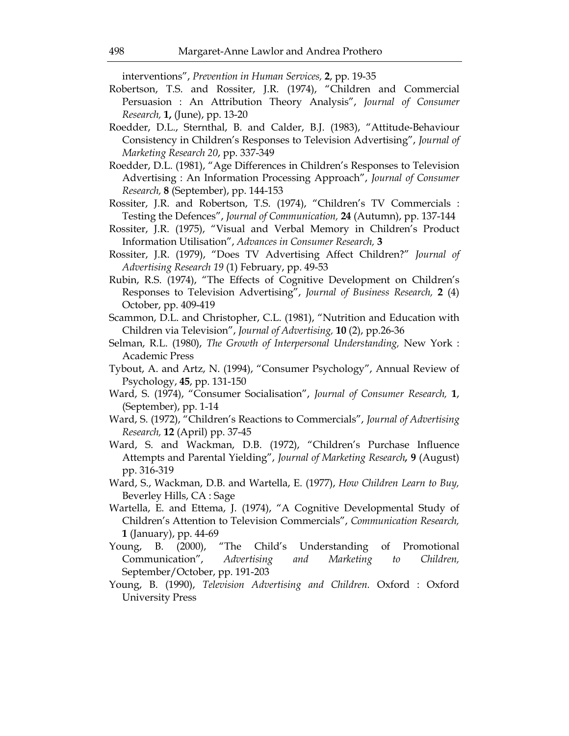interventions", *Prevention in Human Services,* **2**, pp. 19-35

- Robertson, T.S. and Rossiter, J.R. (1974), "Children and Commercial Persuasion : An Attribution Theory Analysis", *Journal of Consumer Research,* **1,** (June), pp. 13-20
- Roedder, D.L., Sternthal, B. and Calder, B.J. (1983), "Attitude-Behaviour Consistency in Children's Responses to Television Advertising", *Journal of Marketing Research 20*, pp. 337-349
- Roedder, D.L. (1981), "Age Differences in Children's Responses to Television Advertising : An Information Processing Approach", *Journal of Consumer Research,* **8** (September), pp. 144-153
- Rossiter, J.R. and Robertson, T.S. (1974), "Children's TV Commercials : Testing the Defences", *Journal of Communication,* **24** (Autumn), pp. 137-144
- Rossiter, J.R. (1975), "Visual and Verbal Memory in Children's Product Information Utilisation", *Advances in Consumer Research,* **3**
- Rossiter, J.R. (1979), "Does TV Advertising Affect Children?" *Journal of Advertising Research 19* (1) February, pp. 49-53
- Rubin, R.S. (1974), "The Effects of Cognitive Development on Children's Responses to Television Advertising", *Journal of Business Research,* **2** (4) October, pp. 409-419
- Scammon, D.L. and Christopher, C.L. (1981), "Nutrition and Education with Children via Television", *Journal of Advertising,* **10** (2), pp.26-36
- Selman, R.L. (1980), *The Growth of Interpersonal Understanding,* New York : Academic Press
- Tybout, A. and Artz, N. (1994), "Consumer Psychology", Annual Review of Psychology, **45**, pp. 131-150
- Ward, S. (1974), "Consumer Socialisation", *Journal of Consumer Research,* **1**, (September), pp. 1-14
- Ward, S. (1972), "Children's Reactions to Commercials", *Journal of Advertising Research,* **12** (April) pp. 37-45
- Ward, S. and Wackman, D.B. (1972), "Children's Purchase Influence Attempts and Parental Yielding", *Journal of Marketing Research,* **9** (August) pp. 316-319
- Ward, S., Wackman, D.B. and Wartella, E. (1977), *How Children Learn to Buy,*  Beverley Hills, CA : Sage
- Wartella, E. and Ettema, J. (1974), "A Cognitive Developmental Study of Children's Attention to Television Commercials", *Communication Research,*  **1** (January), pp. 44-69
- Young, B. (2000), "The Child's Understanding of Promotional Communication", *Advertising and Marketing to Children,*  September/October, pp. 191-203
- Young, B. (1990), *Television Advertising and Children.* Oxford : Oxford University Press